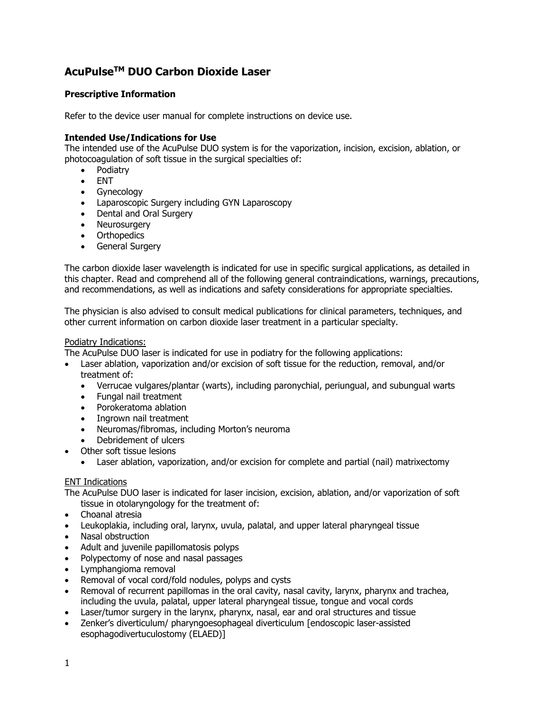# **AcuPulseTM DUO Carbon Dioxide Laser**

# **Prescriptive Information**

Refer to the device user manual for complete instructions on device use.

#### **Intended Use/Indications for Use**

The intended use of the AcuPulse DUO system is for the vaporization, incision, excision, ablation, or photocoagulation of soft tissue in the surgical specialties of:

- Podiatry
- ENT
- Gynecology
- Laparoscopic Surgery including GYN Laparoscopy
- Dental and Oral Surgery
- Neurosurgery
- Orthopedics
- General Surgery

The carbon dioxide laser wavelength is indicated for use in specific surgical applications, as detailed in this chapter. Read and comprehend all of the following general contraindications, warnings, precautions, and recommendations, as well as indications and safety considerations for appropriate specialties.

The physician is also advised to consult medical publications for clinical parameters, techniques, and other current information on carbon dioxide laser treatment in a particular specialty.

#### Podiatry Indications:

The AcuPulse DUO laser is indicated for use in podiatry for the following applications:

- Laser ablation, vaporization and/or excision of soft tissue for the reduction, removal, and/or treatment of:
	- Verrucae vulgares/plantar (warts), including paronychial, periungual, and subungual warts
	- Fungal nail treatment
	- Porokeratoma ablation
	- Ingrown nail treatment
	- Neuromas/fibromas, including Morton's neuroma
	- Debridement of ulcers
- Other soft tissue lesions
	- Laser ablation, vaporization, and/or excision for complete and partial (nail) matrixectomy

#### ENT Indications

The AcuPulse DUO laser is indicated for laser incision, excision, ablation, and/or vaporization of soft

- tissue in otolaryngology for the treatment of:
- Choanal atresia
- Leukoplakia, including oral, larynx, uvula, palatal, and upper lateral pharyngeal tissue
- Nasal obstruction
- Adult and juvenile papillomatosis polyps
- Polypectomy of nose and nasal passages
- Lymphangioma removal
- Removal of vocal cord/fold nodules, polyps and cysts
- Removal of recurrent papillomas in the oral cavity, nasal cavity, larynx, pharynx and trachea, including the uvula, palatal, upper lateral pharyngeal tissue, tongue and vocal cords
- Laser/tumor surgery in the larynx, pharynx, nasal, ear and oral structures and tissue
- Zenker's diverticulum/ pharyngoesophageal diverticulum [endoscopic laser-assisted esophagodivertuculostomy (ELAED)]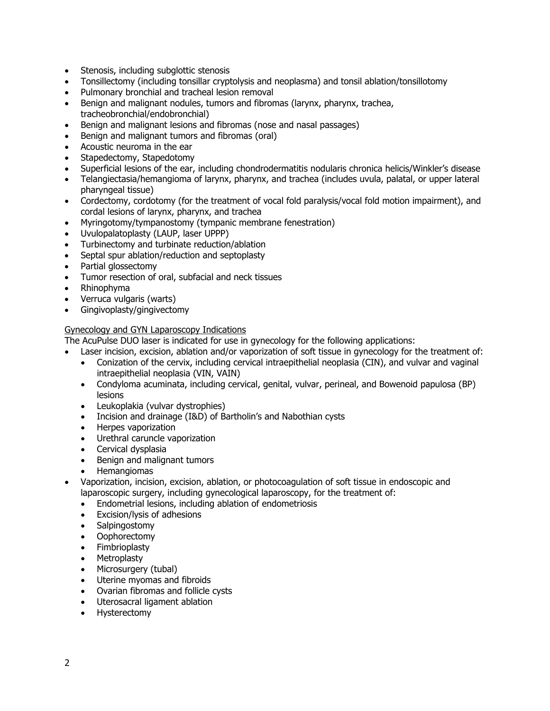- Stenosis, including subglottic stenosis
- Tonsillectomy (including tonsillar cryptolysis and neoplasma) and tonsil ablation/tonsillotomy
- Pulmonary bronchial and tracheal lesion removal
- Benign and malignant nodules, tumors and fibromas (larynx, pharynx, trachea, tracheobronchial/endobronchial)
- Benign and malignant lesions and fibromas (nose and nasal passages)
- Benign and malignant tumors and fibromas (oral)
- Acoustic neuroma in the ear
- Stapedectomy, Stapedotomy
- Superficial lesions of the ear, including chondrodermatitis nodularis chronica helicis/Winkler's disease
- Telangiectasia/hemangioma of larynx, pharynx, and trachea (includes uvula, palatal, or upper lateral pharyngeal tissue)
- Cordectomy, cordotomy (for the treatment of vocal fold paralysis/vocal fold motion impairment), and cordal lesions of larynx, pharynx, and trachea
- Myringotomy/tympanostomy (tympanic membrane fenestration)
- Uvulopalatoplasty (LAUP, laser UPPP)
- Turbinectomy and turbinate reduction/ablation
- Septal spur ablation/reduction and septoplasty
- Partial glossectomy
- Tumor resection of oral, subfacial and neck tissues
- Rhinophyma
- Verruca vulgaris (warts)
- Gingivoplasty/gingivectomy

# Gynecology and GYN Laparoscopy Indications

The AcuPulse DUO laser is indicated for use in gynecology for the following applications:

- Laser incision, excision, ablation and/or vaporization of soft tissue in gynecology for the treatment of:
	- Conization of the cervix, including cervical intraepithelial neoplasia (CIN), and vulvar and vaginal intraepithelial neoplasia (VIN, VAIN)
	- Condyloma acuminata, including cervical, genital, vulvar, perineal, and Bowenoid papulosa (BP) lesions
	- Leukoplakia (vulvar dystrophies)
	- Incision and drainage (I&D) of Bartholin's and Nabothian cysts
	- Herpes vaporization
	- Urethral caruncle vaporization
	- Cervical dysplasia
	- Benign and malignant tumors
	- Hemangiomas
- Vaporization, incision, excision, ablation, or photocoagulation of soft tissue in endoscopic and laparoscopic surgery, including gynecological laparoscopy, for the treatment of:
	- Endometrial lesions, including ablation of endometriosis
	- Excision/lysis of adhesions
	- Salpingostomy
	- Oophorectomy
	- Fimbrioplasty
	- Metroplasty
	- Microsurgery (tubal)
	- Uterine myomas and fibroids
	- Ovarian fibromas and follicle cysts
	- Uterosacral ligament ablation
	- Hysterectomy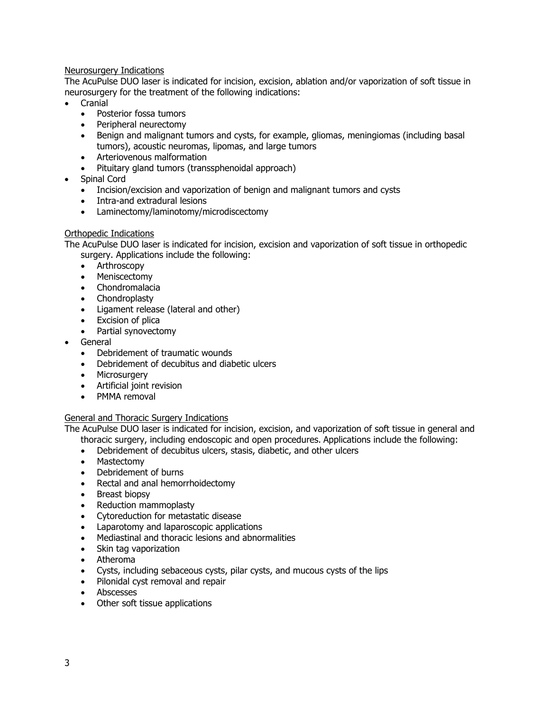### Neurosurgery Indications

The AcuPulse DUO laser is indicated for incision, excision, ablation and/or vaporization of soft tissue in neurosurgery for the treatment of the following indications:

- Cranial
	- Posterior fossa tumors
	- Peripheral neurectomy
	- Benign and malignant tumors and cysts, for example, gliomas, meningiomas (including basal tumors), acoustic neuromas, lipomas, and large tumors
	- Arteriovenous malformation
	- Pituitary gland tumors (transsphenoidal approach)
- Spinal Cord
	- Incision/excision and vaporization of benign and malignant tumors and cysts
	- Intra-and extradural lesions
	- Laminectomy/laminotomy/microdiscectomy

#### Orthopedic Indications

The AcuPulse DUO laser is indicated for incision, excision and vaporization of soft tissue in orthopedic surgery. Applications include the following:

- Arthroscopy
- Meniscectomy
- Chondromalacia
- Chondroplasty
- Ligament release (lateral and other)
- Excision of plica
- Partial synovectomy
- General
	- Debridement of traumatic wounds
	- Debridement of decubitus and diabetic ulcers
	- Microsurgery
	- Artificial joint revision
	- PMMA removal

#### General and Thoracic Surgery Indications

The AcuPulse DUO laser is indicated for incision, excision, and vaporization of soft tissue in general and

- thoracic surgery, including endoscopic and open procedures. Applications include the following:
- Debridement of decubitus ulcers, stasis, diabetic, and other ulcers
- Mastectomy
- Debridement of burns
- Rectal and anal hemorrhoidectomy
- Breast biopsy
- Reduction mammoplasty
- Cytoreduction for metastatic disease
- Laparotomy and laparoscopic applications
- Mediastinal and thoracic lesions and abnormalities
- Skin tag vaporization
- Atheroma
- Cysts, including sebaceous cysts, pilar cysts, and mucous cysts of the lips
- Pilonidal cyst removal and repair
- Abscesses
- Other soft tissue applications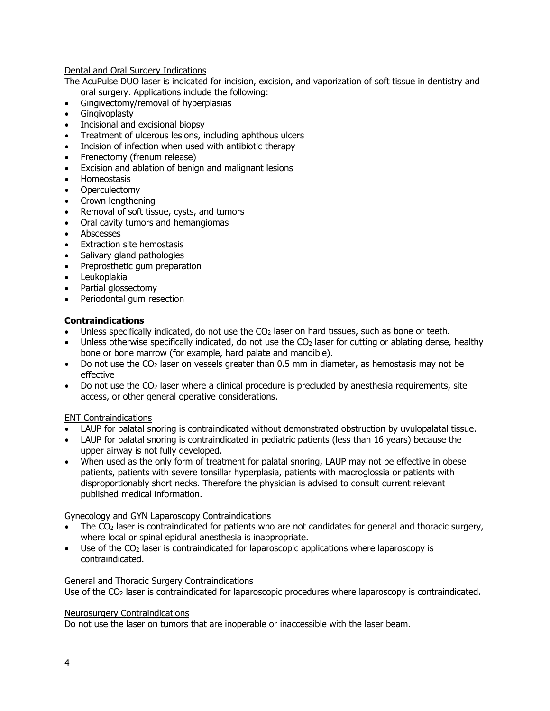Dental and Oral Surgery Indications

The AcuPulse DUO laser is indicated for incision, excision, and vaporization of soft tissue in dentistry and oral surgery. Applications include the following:

- Gingivectomy/removal of hyperplasias
- **Gingivoplasty**
- Incisional and excisional biopsy
- Treatment of ulcerous lesions, including aphthous ulcers
- Incision of infection when used with antibiotic therapy
- Frenectomy (frenum release)
- Excision and ablation of benign and malignant lesions
- Homeostasis
- **Operculectomy**
- Crown lengthening
- Removal of soft tissue, cysts, and tumors
- Oral cavity tumors and hemangiomas
- Abscesses
- Extraction site hemostasis
- Salivary gland pathologies
- Preprosthetic gum preparation
- Leukoplakia
- Partial glossectomy
- Periodontal gum resection

#### **Contraindications**

- Unless specifically indicated, do not use the  $CO<sub>2</sub>$  laser on hard tissues, such as bone or teeth.
- Unless otherwise specifically indicated, do not use the  $CO<sub>2</sub>$  laser for cutting or ablating dense, healthy bone or bone marrow (for example, hard palate and mandible).
- Do not use the  $CO<sub>2</sub>$  laser on vessels greater than 0.5 mm in diameter, as hemostasis may not be effective
- Do not use the  $CO<sub>2</sub>$  laser where a clinical procedure is precluded by anesthesia requirements, site access, or other general operative considerations.

#### ENT Contraindications

- LAUP for palatal snoring is contraindicated without demonstrated obstruction by uvulopalatal tissue.
- LAUP for palatal snoring is contraindicated in pediatric patients (less than 16 years) because the upper airway is not fully developed.
- When used as the only form of treatment for palatal snoring, LAUP may not be effective in obese patients, patients with severe tonsillar hyperplasia, patients with macroglossia or patients with disproportionably short necks. Therefore the physician is advised to consult current relevant published medical information.

#### Gynecology and GYN Laparoscopy Contraindications

- The  $CO<sub>2</sub>$  laser is contraindicated for patients who are not candidates for general and thoracic surgery, where local or spinal epidural anesthesia is inappropriate.
- Use of the CO<sub>2</sub> laser is contraindicated for laparoscopic applications where laparoscopy is contraindicated.

#### General and Thoracic Surgery Contraindications

Use of the CO<sub>2</sub> laser is contraindicated for laparoscopic procedures where laparoscopy is contraindicated.

#### Neurosurgery Contraindications

Do not use the laser on tumors that are inoperable or inaccessible with the laser beam.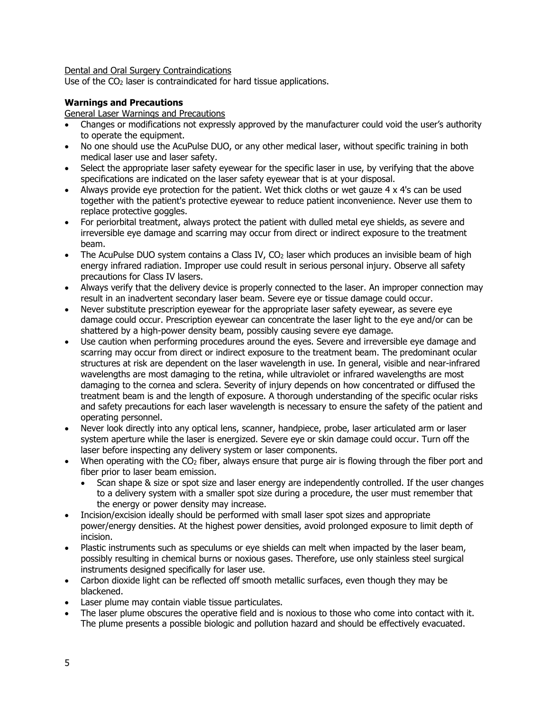Dental and Oral Surgery Contraindications

Use of the CO<sub>2</sub> laser is contraindicated for hard tissue applications.

#### **Warnings and Precautions**

General Laser Warnings and Precautions

- Changes or modifications not expressly approved by the manufacturer could void the user's authority to operate the equipment.
- No one should use the AcuPulse DUO, or any other medical laser, without specific training in both medical laser use and laser safety.
- Select the appropriate laser safety eyewear for the specific laser in use, by verifying that the above specifications are indicated on the laser safety eyewear that is at your disposal.
- Always provide eye protection for the patient. Wet thick cloths or wet gauze 4 x 4's can be used together with the patient's protective eyewear to reduce patient inconvenience. Never use them to replace protective goggles.
- For periorbital treatment, always protect the patient with dulled metal eye shields, as severe and irreversible eye damage and scarring may occur from direct or indirect exposure to the treatment beam.
- The AcuPulse DUO system contains a Class IV,  $CO<sub>2</sub>$  laser which produces an invisible beam of high energy infrared radiation. Improper use could result in serious personal injury. Observe all safety precautions for Class IV lasers.
- Always verify that the delivery device is properly connected to the laser. An improper connection may result in an inadvertent secondary laser beam. Severe eye or tissue damage could occur.
- Never substitute prescription eyewear for the appropriate laser safety eyewear, as severe eye damage could occur. Prescription eyewear can concentrate the laser light to the eye and/or can be shattered by a high-power density beam, possibly causing severe eye damage.
- Use caution when performing procedures around the eyes. Severe and irreversible eye damage and scarring may occur from direct or indirect exposure to the treatment beam. The predominant ocular structures at risk are dependent on the laser wavelength in use. In general, visible and near-infrared wavelengths are most damaging to the retina, while ultraviolet or infrared wavelengths are most damaging to the cornea and sclera. Severity of injury depends on how concentrated or diffused the treatment beam is and the length of exposure. A thorough understanding of the specific ocular risks and safety precautions for each laser wavelength is necessary to ensure the safety of the patient and operating personnel.
- Never look directly into any optical lens, scanner, handpiece, probe, laser articulated arm or laser system aperture while the laser is energized. Severe eye or skin damage could occur. Turn off the laser before inspecting any delivery system or laser components.
- When operating with the  $CO<sub>2</sub>$  fiber, always ensure that purge air is flowing through the fiber port and fiber prior to laser beam emission.
	- Scan shape & size or spot size and laser energy are independently controlled. If the user changes to a delivery system with a smaller spot size during a procedure, the user must remember that the energy or power density may increase.
- Incision/excision ideally should be performed with small laser spot sizes and appropriate power/energy densities. At the highest power densities, avoid prolonged exposure to limit depth of incision.
- Plastic instruments such as speculums or eye shields can melt when impacted by the laser beam, possibly resulting in chemical burns or noxious gases. Therefore, use only stainless steel surgical instruments designed specifically for laser use.
- Carbon dioxide light can be reflected off smooth metallic surfaces, even though they may be blackened.
- Laser plume may contain viable tissue particulates.
- The laser plume obscures the operative field and is noxious to those who come into contact with it. The plume presents a possible biologic and pollution hazard and should be effectively evacuated.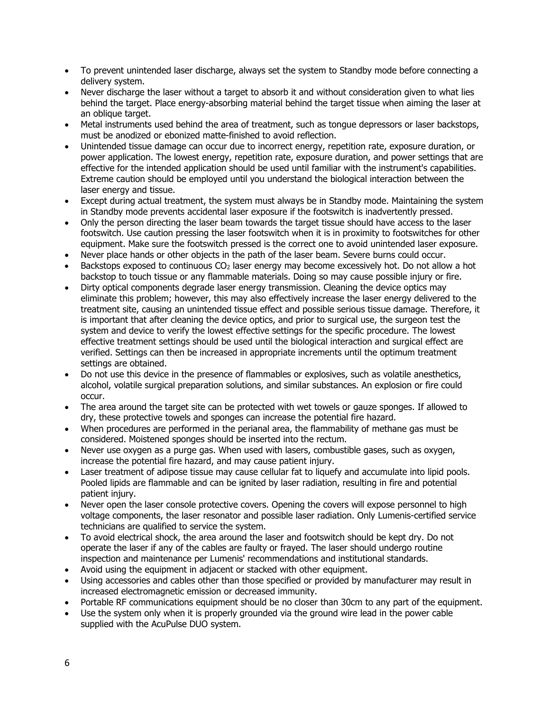- To prevent unintended laser discharge, always set the system to Standby mode before connecting a delivery system.
- Never discharge the laser without a target to absorb it and without consideration given to what lies behind the target. Place energy-absorbing material behind the target tissue when aiming the laser at an oblique target.
- Metal instruments used behind the area of treatment, such as tongue depressors or laser backstops, must be anodized or ebonized matte-finished to avoid reflection.
- Unintended tissue damage can occur due to incorrect energy, repetition rate, exposure duration, or power application. The lowest energy, repetition rate, exposure duration, and power settings that are effective for the intended application should be used until familiar with the instrument's capabilities. Extreme caution should be employed until you understand the biological interaction between the laser energy and tissue.
- Except during actual treatment, the system must always be in Standby mode. Maintaining the system in Standby mode prevents accidental laser exposure if the footswitch is inadvertently pressed.
- Only the person directing the laser beam towards the target tissue should have access to the laser footswitch. Use caution pressing the laser footswitch when it is in proximity to footswitches for other equipment. Make sure the footswitch pressed is the correct one to avoid unintended laser exposure.
- Never place hands or other objects in the path of the laser beam. Severe burns could occur.
- Backstops exposed to continuous CO2 laser energy may become excessively hot. Do not allow a hot backstop to touch tissue or any flammable materials. Doing so may cause possible injury or fire.
- Dirty optical components degrade laser energy transmission. Cleaning the device optics may eliminate this problem; however, this may also effectively increase the laser energy delivered to the treatment site, causing an unintended tissue effect and possible serious tissue damage. Therefore, it is important that after cleaning the device optics, and prior to surgical use, the surgeon test the system and device to verify the lowest effective settings for the specific procedure. The lowest effective treatment settings should be used until the biological interaction and surgical effect are verified. Settings can then be increased in appropriate increments until the optimum treatment settings are obtained.
- Do not use this device in the presence of flammables or explosives, such as volatile anesthetics, alcohol, volatile surgical preparation solutions, and similar substances. An explosion or fire could occur.
- The area around the target site can be protected with wet towels or gauze sponges. If allowed to dry, these protective towels and sponges can increase the potential fire hazard.
- When procedures are performed in the perianal area, the flammability of methane gas must be considered. Moistened sponges should be inserted into the rectum.
- Never use oxygen as a purge gas. When used with lasers, combustible gases, such as oxygen, increase the potential fire hazard, and may cause patient injury.
- Laser treatment of adipose tissue may cause cellular fat to liquefy and accumulate into lipid pools. Pooled lipids are flammable and can be ignited by laser radiation, resulting in fire and potential patient injury.
- Never open the laser console protective covers. Opening the covers will expose personnel to high voltage components, the laser resonator and possible laser radiation. Only Lumenis-certified service technicians are qualified to service the system.
- To avoid electrical shock, the area around the laser and footswitch should be kept dry. Do not operate the laser if any of the cables are faulty or frayed. The laser should undergo routine inspection and maintenance per Lumenis' recommendations and institutional standards.
- Avoid using the equipment in adjacent or stacked with other equipment.
- Using accessories and cables other than those specified or provided by manufacturer may result in increased electromagnetic emission or decreased immunity.
- Portable RF communications equipment should be no closer than 30cm to any part of the equipment.
- Use the system only when it is properly grounded via the ground wire lead in the power cable supplied with the AcuPulse DUO system.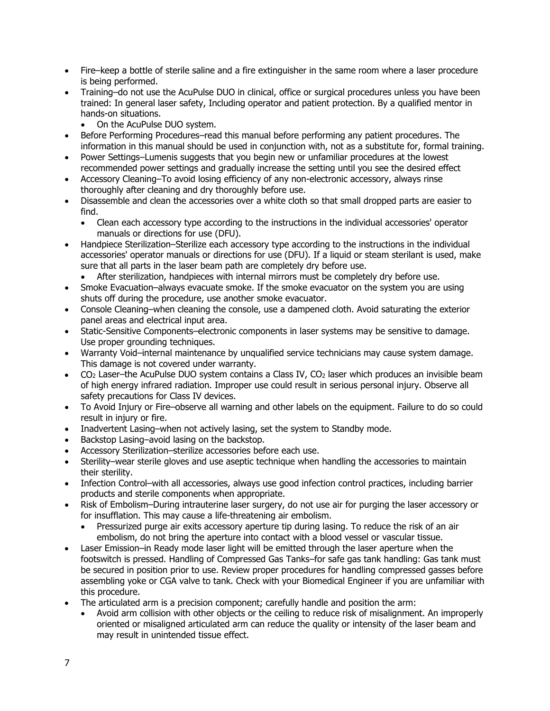- Fire–keep a bottle of sterile saline and a fire extinguisher in the same room where a laser procedure is being performed.
- Training–do not use the AcuPulse DUO in clinical, office or surgical procedures unless you have been trained: In general laser safety, Including operator and patient protection. By a qualified mentor in hands-on situations.
	- On the AcuPulse DUO system.
- Before Performing Procedures–read this manual before performing any patient procedures. The information in this manual should be used in conjunction with, not as a substitute for, formal training.
- Power Settings–Lumenis suggests that you begin new or unfamiliar procedures at the lowest recommended power settings and gradually increase the setting until you see the desired effect
- Accessory Cleaning–To avoid losing efficiency of any non-electronic accessory, always rinse thoroughly after cleaning and dry thoroughly before use.
- Disassemble and clean the accessories over a white cloth so that small dropped parts are easier to find.
	- Clean each accessory type according to the instructions in the individual accessories' operator manuals or directions for use (DFU).
- Handpiece Sterilization–Sterilize each accessory type according to the instructions in the individual accessories' operator manuals or directions for use (DFU). If a liquid or steam sterilant is used, make sure that all parts in the laser beam path are completely dry before use.
	- After sterilization, handpieces with internal mirrors must be completely dry before use.
- Smoke Evacuation–always evacuate smoke. If the smoke evacuator on the system you are using shuts off during the procedure, use another smoke evacuator.
- Console Cleaning–when cleaning the console, use a dampened cloth. Avoid saturating the exterior panel areas and electrical input area.
- Static-Sensitive Components–electronic components in laser systems may be sensitive to damage. Use proper grounding techniques.
- Warranty Void–internal maintenance by unqualified service technicians may cause system damage. This damage is not covered under warranty.
- CO2 Laser–the AcuPulse DUO system contains a Class IV, CO2 laser which produces an invisible beam of high energy infrared radiation. Improper use could result in serious personal injury. Observe all safety precautions for Class IV devices.
- To Avoid Injury or Fire–observe all warning and other labels on the equipment. Failure to do so could result in injury or fire.
- Inadvertent Lasing–when not actively lasing, set the system to Standby mode.
- Backstop Lasing–avoid lasing on the backstop.
- Accessory Sterilization–sterilize accessories before each use.
- Sterility–wear sterile gloves and use aseptic technique when handling the accessories to maintain their sterility.
- Infection Control–with all accessories, always use good infection control practices, including barrier products and sterile components when appropriate.
- Risk of Embolism–During intrauterine laser surgery, do not use air for purging the laser accessory or for insufflation. This may cause a life-threatening air embolism.
	- Pressurized purge air exits accessory aperture tip during lasing. To reduce the risk of an air embolism, do not bring the aperture into contact with a blood vessel or vascular tissue.
- Laser Emission–in Ready mode laser light will be emitted through the laser aperture when the footswitch is pressed. Handling of Compressed Gas Tanks–for safe gas tank handling: Gas tank must be secured in position prior to use. Review proper procedures for handling compressed gasses before assembling yoke or CGA valve to tank. Check with your Biomedical Engineer if you are unfamiliar with this procedure.
- The articulated arm is a precision component; carefully handle and position the arm:
	- Avoid arm collision with other objects or the ceiling to reduce risk of misalignment. An improperly oriented or misaligned articulated arm can reduce the quality or intensity of the laser beam and may result in unintended tissue effect.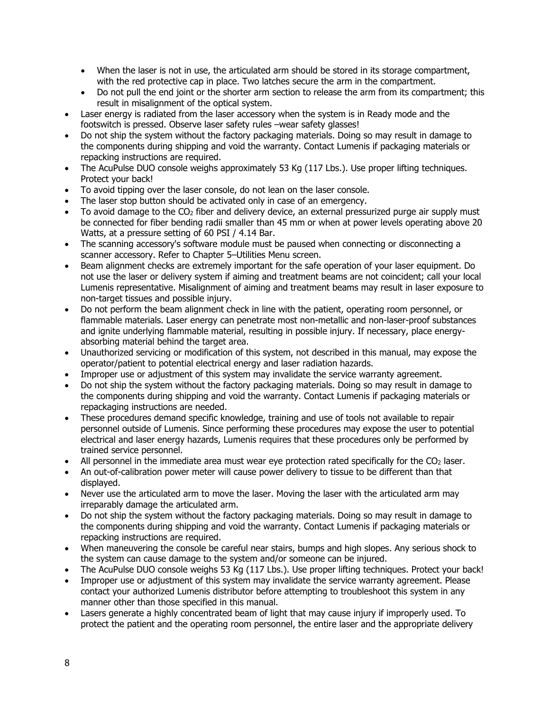- When the laser is not in use, the articulated arm should be stored in its storage compartment, with the red protective cap in place. Two latches secure the arm in the compartment.
- Do not pull the end joint or the shorter arm section to release the arm from its compartment; this result in misalignment of the optical system.
- Laser energy is radiated from the laser accessory when the system is in Ready mode and the footswitch is pressed. Observe laser safety rules –wear safety glasses!
- Do not ship the system without the factory packaging materials. Doing so may result in damage to the components during shipping and void the warranty. Contact Lumenis if packaging materials or repacking instructions are required.
- The AcuPulse DUO console weighs approximately 53 Kg (117 Lbs.). Use proper lifting techniques. Protect your back!
- To avoid tipping over the laser console, do not lean on the laser console.
- The laser stop button should be activated only in case of an emergency.
- To avoid damage to the  $CO<sub>2</sub>$  fiber and delivery device, an external pressurized purge air supply must be connected for fiber bending radii smaller than 45 mm or when at power levels operating above 20 Watts, at a pressure setting of 60 PSI / 4.14 Bar.
- The scanning accessory's software module must be paused when connecting or disconnecting a scanner accessory. Refer to Chapter 5–Utilities Menu screen.
- Beam alignment checks are extremely important for the safe operation of your laser equipment. Do not use the laser or delivery system if aiming and treatment beams are not coincident; call your local Lumenis representative. Misalignment of aiming and treatment beams may result in laser exposure to non-target tissues and possible injury.
- Do not perform the beam alignment check in line with the patient, operating room personnel, or flammable materials. Laser energy can penetrate most non-metallic and non-laser-proof substances and ignite underlying flammable material, resulting in possible injury. If necessary, place energyabsorbing material behind the target area.
- Unauthorized servicing or modification of this system, not described in this manual, may expose the operator/patient to potential electrical energy and laser radiation hazards.
- Improper use or adjustment of this system may invalidate the service warranty agreement.
- Do not ship the system without the factory packaging materials. Doing so may result in damage to the components during shipping and void the warranty. Contact Lumenis if packaging materials or repackaging instructions are needed.
- These procedures demand specific knowledge, training and use of tools not available to repair personnel outside of Lumenis. Since performing these procedures may expose the user to potential electrical and laser energy hazards, Lumenis requires that these procedures only be performed by trained service personnel.
- All personnel in the immediate area must wear eye protection rated specifically for the CO<sub>2</sub> laser.
- An out-of-calibration power meter will cause power delivery to tissue to be different than that displayed.
- Never use the articulated arm to move the laser. Moving the laser with the articulated arm may irreparably damage the articulated arm.
- Do not ship the system without the factory packaging materials. Doing so may result in damage to the components during shipping and void the warranty. Contact Lumenis if packaging materials or repacking instructions are required.
- When maneuvering the console be careful near stairs, bumps and high slopes. Any serious shock to the system can cause damage to the system and/or someone can be injured.
- The AcuPulse DUO console weighs 53 Kg (117 Lbs.). Use proper lifting techniques. Protect your back!
- Improper use or adjustment of this system may invalidate the service warranty agreement. Please contact your authorized Lumenis distributor before attempting to troubleshoot this system in any manner other than those specified in this manual.
- Lasers generate a highly concentrated beam of light that may cause injury if improperly used. To protect the patient and the operating room personnel, the entire laser and the appropriate delivery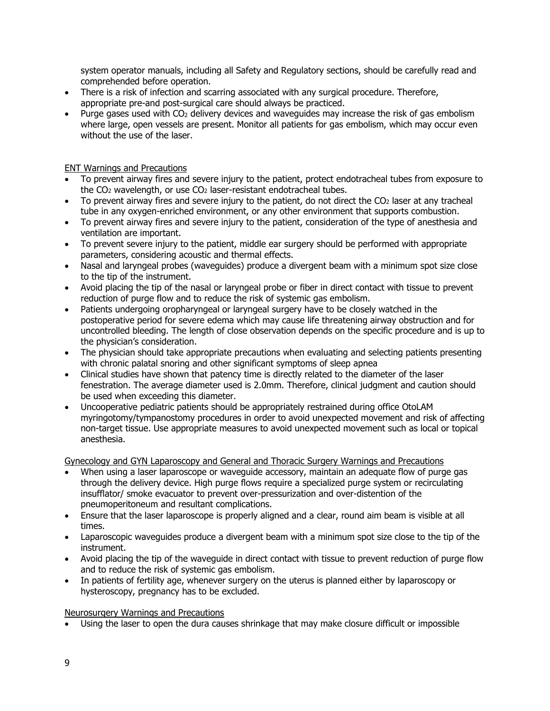system operator manuals, including all Safety and Regulatory sections, should be carefully read and comprehended before operation.

- There is a risk of infection and scarring associated with any surgical procedure. Therefore, appropriate pre-and post-surgical care should always be practiced.
- Purge gases used with  $CO<sub>2</sub>$  delivery devices and waveguides may increase the risk of gas embolism where large, open vessels are present. Monitor all patients for gas embolism, which may occur even without the use of the laser.

# ENT Warnings and Precautions

- To prevent airway fires and severe injury to the patient, protect endotracheal tubes from exposure to the  $CO<sub>2</sub>$  wavelength, or use  $CO<sub>2</sub>$  laser-resistant endotracheal tubes.
- To prevent airway fires and severe injury to the patient, do not direct the  $CO<sub>2</sub>$  laser at any tracheal tube in any oxygen-enriched environment, or any other environment that supports combustion.
- To prevent airway fires and severe injury to the patient, consideration of the type of anesthesia and ventilation are important.
- To prevent severe injury to the patient, middle ear surgery should be performed with appropriate parameters, considering acoustic and thermal effects.
- Nasal and laryngeal probes (waveguides) produce a divergent beam with a minimum spot size close to the tip of the instrument.
- Avoid placing the tip of the nasal or laryngeal probe or fiber in direct contact with tissue to prevent reduction of purge flow and to reduce the risk of systemic gas embolism.
- Patients undergoing oropharyngeal or laryngeal surgery have to be closely watched in the postoperative period for severe edema which may cause life threatening airway obstruction and for uncontrolled bleeding. The length of close observation depends on the specific procedure and is up to the physician's consideration.
- The physician should take appropriate precautions when evaluating and selecting patients presenting with chronic palatal snoring and other significant symptoms of sleep apnea
- Clinical studies have shown that patency time is directly related to the diameter of the laser fenestration. The average diameter used is 2.0mm. Therefore, clinical judgment and caution should be used when exceeding this diameter.
- Uncooperative pediatric patients should be appropriately restrained during office OtoLAM myringotomy/tympanostomy procedures in order to avoid unexpected movement and risk of affecting non-target tissue. Use appropriate measures to avoid unexpected movement such as local or topical anesthesia.

Gynecology and GYN Laparoscopy and General and Thoracic Surgery Warnings and Precautions

- When using a laser laparoscope or waveguide accessory, maintain an adequate flow of purge gas through the delivery device. High purge flows require a specialized purge system or recirculating insufflator/ smoke evacuator to prevent over-pressurization and over-distention of the pneumoperitoneum and resultant complications.
- Ensure that the laser laparoscope is properly aligned and a clear, round aim beam is visible at all times.
- Laparoscopic waveguides produce a divergent beam with a minimum spot size close to the tip of the instrument.
- Avoid placing the tip of the waveguide in direct contact with tissue to prevent reduction of purge flow and to reduce the risk of systemic gas embolism.
- In patients of fertility age, whenever surgery on the uterus is planned either by laparoscopy or hysteroscopy, pregnancy has to be excluded.

#### Neurosurgery Warnings and Precautions

• Using the laser to open the dura causes shrinkage that may make closure difficult or impossible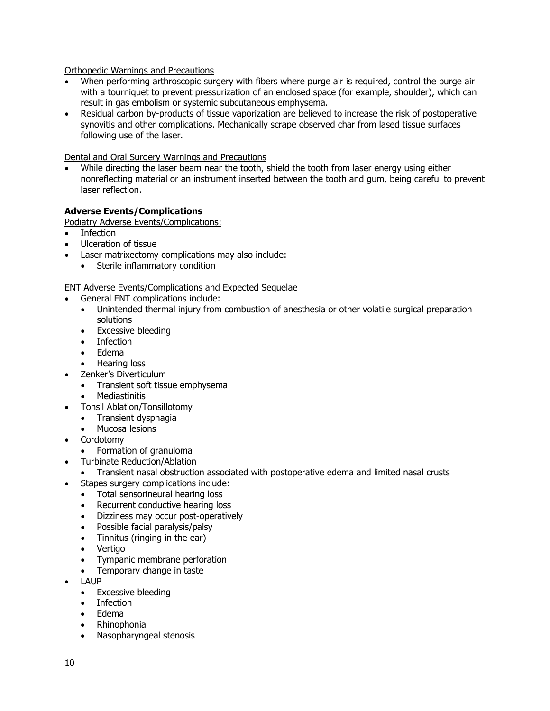Orthopedic Warnings and Precautions

- When performing arthroscopic surgery with fibers where purge air is required, control the purge air with a tourniquet to prevent pressurization of an enclosed space (for example, shoulder), which can result in gas embolism or systemic subcutaneous emphysema.
- Residual carbon by-products of tissue vaporization are believed to increase the risk of postoperative synovitis and other complications. Mechanically scrape observed char from lased tissue surfaces following use of the laser.

Dental and Oral Surgery Warnings and Precautions

• While directing the laser beam near the tooth, shield the tooth from laser energy using either nonreflecting material or an instrument inserted between the tooth and gum, being careful to prevent laser reflection.

# **Adverse Events/Complications**

Podiatry Adverse Events/Complications:

- Infection
- Ulceration of tissue
- Laser matrixectomy complications may also include:
	- Sterile inflammatory condition

ENT Adverse Events/Complications and Expected Sequelae

- General ENT complications include:
	- Unintended thermal injury from combustion of anesthesia or other volatile surgical preparation solutions
	- Excessive bleeding
	- Infection
	- Edema
	- Hearing loss
- Zenker's Diverticulum
	- Transient soft tissue emphysema
	- Mediastinitis
- Tonsil Ablation/Tonsillotomy
	- Transient dysphagia
	- Mucosa lesions
- **Cordotomy** 
	- Formation of granuloma
- Turbinate Reduction/Ablation
- Transient nasal obstruction associated with postoperative edema and limited nasal crusts
- Stapes surgery complications include:
	- Total sensorineural hearing loss
	- Recurrent conductive hearing loss
	- Dizziness may occur post-operatively
	- Possible facial paralysis/palsy
	- Tinnitus (ringing in the ear)
	- Vertigo
	- Tympanic membrane perforation
	- Temporary change in taste
- LAUP
	- Excessive bleeding
	- **Infection**
	- Edema
	- Rhinophonia
	- Nasopharyngeal stenosis